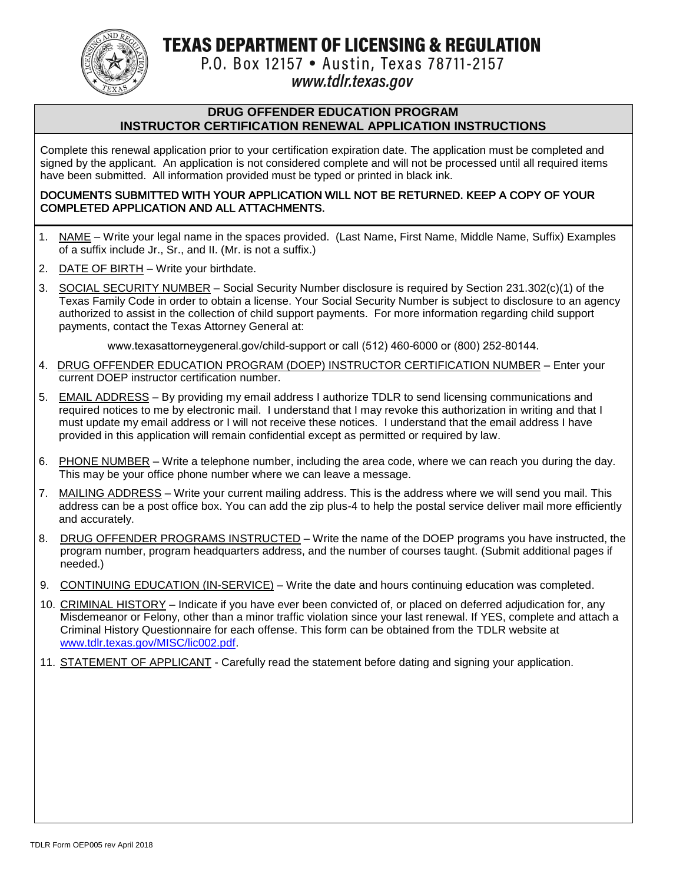TEXAS DEPARTMENT OF LICENSING & REGULATION



P.O. Box 12157 . Austin, Texas 78711-2157

## www.tdlr.texas.gov

#### **DRUG OFFENDER EDUCATION PROGRAM INSTRUCTOR CERTIFICATION RENEWAL APPLICATION INSTRUCTIONS**

Complete this renewal application prior to your certification expiration date. The application must be completed and signed by the applicant. An application is not considered complete and will not be processed until all required items have been submitted. All information provided must be typed or printed in black ink.

#### DOCUMENTS SUBMITTED WITH YOUR APPLICATION WILL NOT BE RETURNED. KEEP A COPY OF YOUR COMPLETED APPLICATION AND ALL ATTACHMENTS.

- 1. NAME Write your legal name in the spaces provided. (Last Name, First Name, Middle Name, Suffix) Examples of a suffix include Jr., Sr., and II. (Mr. is not a suffix.)
- 2. DATE OF BIRTH Write your birthdate.
- 3. SOCIAL SECURITY NUMBER Social Security Number disclosure is required by Section 231.302(c)(1) of the Texas Family Code in order to obtain a license. Your Social Security Number is subject to disclosure to an agency authorized to assist in the collection of child support payments. For more information regarding child support payments, contact the Texas Attorney General at:

www.texasattorneygeneral.gov/child-support or call (512) 460-6000 or (800) 252-80144.

- 4. DRUG OFFENDER EDUCATION PROGRAM (DOEP) INSTRUCTOR CERTIFICATION NUMBER Enter your current DOEP instructor certification number.
- 5. EMAIL ADDRESS By providing my email address I authorize TDLR to send licensing communications and required notices to me by electronic mail. I understand that I may revoke this authorization in writing and that I must update my email address or I will not receive these notices. I understand that the email address I have provided in this application will remain confidential except as permitted or required by law.
- 6. PHONE NUMBER Write a telephone number, including the area code, where we can reach you during the day. This may be your office phone number where we can leave a message.
- 7. MAILING ADDRESS Write your current mailing address. This is the address where we will send you mail. This address can be a post office box. You can add the zip plus-4 to help the postal service deliver mail more efficiently and accurately.
- 8. DRUG OFFENDER PROGRAMS INSTRUCTED Write the name of the DOEP programs you have instructed, the program number, program headquarters address, and the number of courses taught. (Submit additional pages if needed.)
- 9. CONTINUING EDUCATION (IN-SERVICE) Write the date and hours continuing education was completed.
- 10. CRIMINAL HISTORY Indicate if you have ever been convicted of, or placed on deferred adjudication for, any Misdemeanor or Felony, other than a minor traffic violation since your last renewal. If YES, complete and attach a Criminal History Questionnaire for each offense. This form can be obtained from the TDLR website at [www.tdlr.texas.gov/MISC/lic002.pdf.](http://www.tdlr.texas.gov/MISC/lic002.pdf)
- 11. STATEMENT OF APPLICANT Carefully read the statement before dating and signing your application.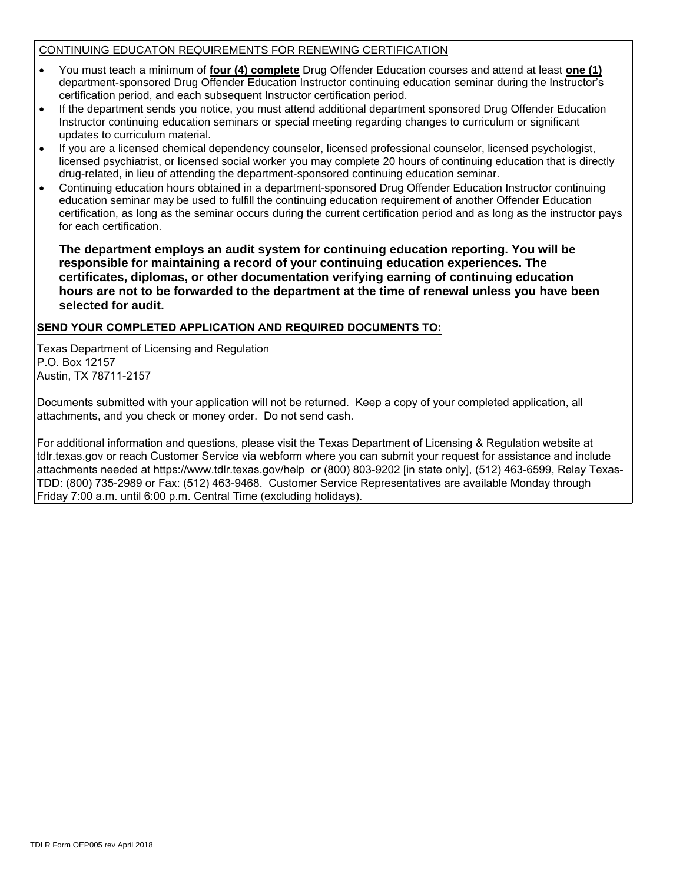#### CONTINUING EDUCATON REQUIREMENTS FOR RENEWING CERTIFICATION

- You must teach a minimum of **four (4) complete** Drug Offender Education courses and attend at least **one (1)** department-sponsored Drug Offender Education Instructor continuing education seminar during the Instructor's certification period, and each subsequent Instructor certification period.
- If the department sends you notice, you must attend additional department sponsored Drug Offender Education Instructor continuing education seminars or special meeting regarding changes to curriculum or significant updates to curriculum material.
- If you are a licensed chemical dependency counselor, licensed professional counselor, licensed psychologist, licensed psychiatrist, or licensed social worker you may complete 20 hours of continuing education that is directly drug-related, in lieu of attending the department-sponsored continuing education seminar.
- Continuing education hours obtained in a department-sponsored Drug Offender Education Instructor continuing education seminar may be used to fulfill the continuing education requirement of another Offender Education certification, as long as the seminar occurs during the current certification period and as long as the instructor pays for each certification.

**The department employs an audit system for continuing education reporting. You will be responsible for maintaining a record of your continuing education experiences. The certificates, diplomas, or other documentation verifying earning of continuing education hours are not to be forwarded to the department at the time of renewal unless you have been selected for audit.**

#### **SEND YOUR COMPLETED APPLICATION AND REQUIRED DOCUMENTS TO:**

Texas Department of Licensing and Regulation P.O. Box 12157 Austin, TX 78711-2157

Documents submitted with your application will not be returned. Keep a copy of your completed application, all attachments, and you check or money order. Do not send cash.

For additional information and questions, please visit the Texas Department of Licensing & Regulation website at tdlr.texas.gov or reach Customer Service via webform where you can submit your request for assistance and include attachments needed at https://www.tdlr.texas.gov/help or (800) 803-9202 [in state only], (512) 463-6599, Relay Texas-TDD: (800) 735-2989 or Fax: (512) 463-9468. Customer Service Representatives are available Monday through Friday 7:00 a.m. until 6:00 p.m. Central Time (excluding holidays).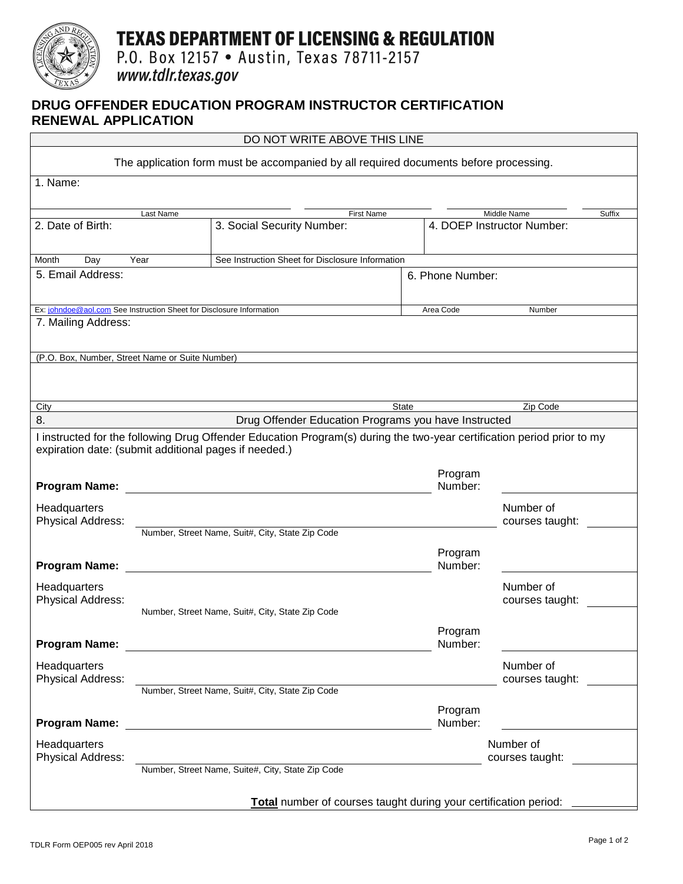

# **TEXAS DEPARTMENT OF LICENSING & REGULATION**

P.O. Box 12157 . Austin, Texas 78711-2157

www.tdlr.texas.gov

### **DRUG OFFENDER EDUCATION PROGRAM INSTRUCTOR CERTIFICATION RENEWAL APPLICATION**

|                                                                      | DO NOT WRITE ABOVE THIS LINE                                                          |                    |                              |
|----------------------------------------------------------------------|---------------------------------------------------------------------------------------|--------------------|------------------------------|
|                                                                      | The application form must be accompanied by all required documents before processing. |                    |                              |
| 1. Name:                                                             |                                                                                       |                    |                              |
| Last Name                                                            | First Name                                                                            |                    | Middle Name<br>Suffix        |
| 2. Date of Birth:                                                    | 3. Social Security Number:                                                            |                    | 4. DOEP Instructor Number:   |
| Month<br>Year<br>Day                                                 | See Instruction Sheet for Disclosure Information                                      |                    |                              |
| 5. Email Address:                                                    | 6. Phone Number:                                                                      |                    |                              |
| Ex: johndoe@aol.com See Instruction Sheet for Disclosure Information |                                                                                       | Area Code          | Number                       |
| 7. Mailing Address:                                                  |                                                                                       |                    |                              |
| (P.O. Box, Number, Street Name or Suite Number)                      |                                                                                       |                    |                              |
|                                                                      |                                                                                       |                    |                              |
| City                                                                 |                                                                                       | <b>State</b>       | Zip Code                     |
| 8.                                                                   | Drug Offender Education Programs you have Instructed                                  |                    |                              |
| <b>Program Name:</b>                                                 |                                                                                       | Program<br>Number: |                              |
| Headquarters<br>Physical Address:                                    |                                                                                       |                    | Number of<br>courses taught: |
|                                                                      | Number, Street Name, Suit#, City, State Zip Code                                      |                    |                              |
| <b>Program Name:</b>                                                 |                                                                                       | Program<br>Number: |                              |
| Headquarters<br>Physical Address:                                    |                                                                                       |                    | Number of<br>courses taught: |
|                                                                      | Number, Street Name, Suit#, City, State Zip Code                                      |                    |                              |
| <b>Program Name:</b>                                                 | <u> 1989 - John Stein, Amerikaansk politiker (</u>                                    | Program<br>Number: |                              |
| Headquarters<br>Physical Address:                                    |                                                                                       |                    | Number of<br>courses taught: |
|                                                                      | Number, Street Name, Suit#, City, State Zip Code                                      |                    |                              |
| <b>Program Name:</b>                                                 | <u> 1989 - Johann Harry Barn, mars an t-Amerikaansk kommunist (</u>                   | Program<br>Number: |                              |
| Headquarters<br>Physical Address:                                    |                                                                                       |                    | Number of<br>courses taught: |
|                                                                      | Number, Street Name, Suite#, City, State Zip Code                                     |                    |                              |
|                                                                      |                                                                                       |                    |                              |
|                                                                      | <b>Total</b> number of courses taught during your certification period: ____          |                    |                              |